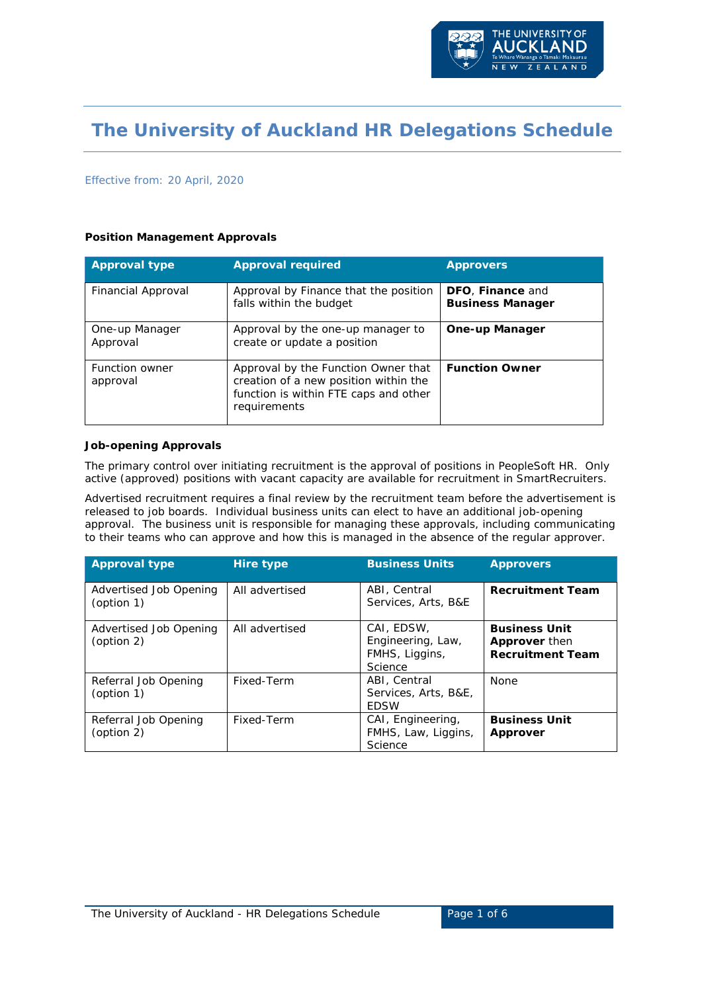

# **The University of Auckland HR Delegations Schedule**

#### Effective from: 20 April, 2020

#### **Position Management Approvals**

| <b>Approval type</b>              | <b>Approval required</b>                                                                                                              | <b>Approvers</b>                            |
|-----------------------------------|---------------------------------------------------------------------------------------------------------------------------------------|---------------------------------------------|
| Financial Approval                | Approval by Finance that the position<br>falls within the budget                                                                      | DFO, Finance and<br><b>Business Manager</b> |
| One-up Manager<br>Approval        | Approval by the one-up manager to<br>create or update a position                                                                      | <b>One-up Manager</b>                       |
| <b>Function owner</b><br>approval | Approval by the Function Owner that<br>creation of a new position within the<br>function is within FTE caps and other<br>requirements | <b>Function Owner</b>                       |

#### **Job-opening Approvals**

The primary control over initiating recruitment is the approval of positions in PeopleSoft HR. Only active (approved) positions with vacant capacity are available for recruitment in SmartRecruiters.

Advertised recruitment requires a final review by the recruitment team before the advertisement is released to job boards. Individual business units can elect to have an additional job-opening approval. The business unit is responsible for managing these approvals, including communicating to their teams who can approve and how this is managed in the absence of the regular approver.

| <b>Approval type</b>                 | Hire type      | <b>Business Units</b>                                        | <b>Approvers</b>                                                        |
|--------------------------------------|----------------|--------------------------------------------------------------|-------------------------------------------------------------------------|
| Advertised Job Opening<br>(option 1) | All advertised | ABI, Central<br>Services, Arts, B&E                          | <b>Recruitment Team</b>                                                 |
| Advertised Job Opening<br>(option 2) | All advertised | CAI, EDSW,<br>Engineering, Law,<br>FMHS, Liggins,<br>Science | <b>Business Unit</b><br><b>Approver</b> then<br><b>Recruitment Team</b> |
| Referral Job Opening<br>(option 1)   | Fixed-Term     | ABI, Central<br>Services, Arts, B&E,<br><b>EDSW</b>          | None                                                                    |
| Referral Job Opening<br>(option 2)   | Fixed-Term     | CAI, Engineering,<br>FMHS, Law, Liggins,<br>Science          | <b>Business Unit</b><br>Approver                                        |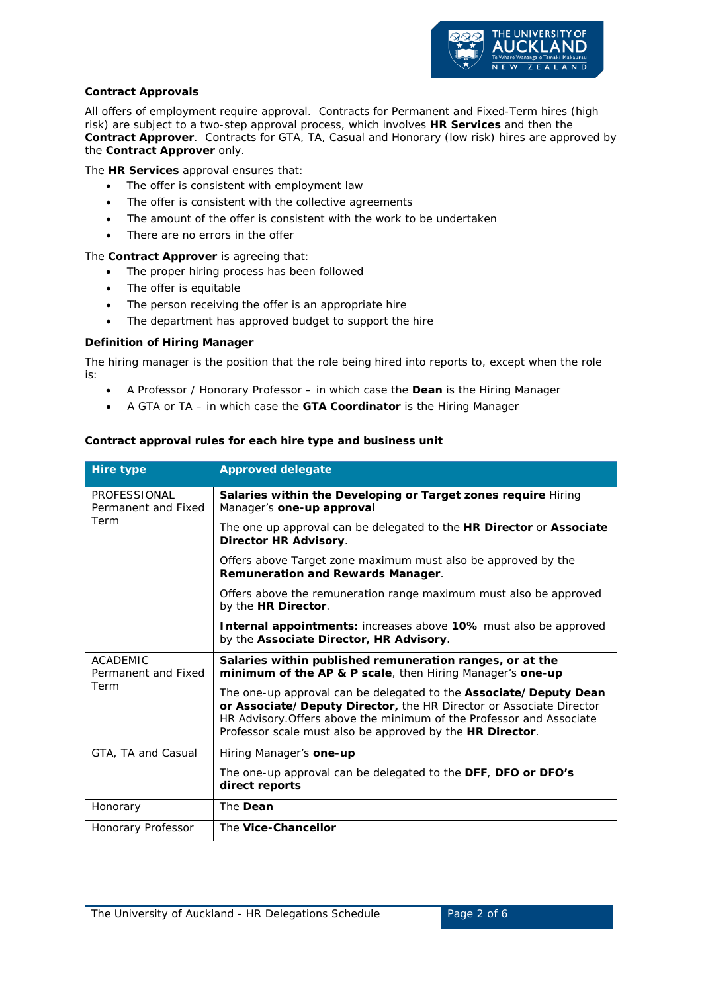

### **Contract Approvals**

All offers of employment require approval. Contracts for Permanent and Fixed-Term hires (high risk) are subject to a two-step approval process, which involves **HR Services** and then the **Contract Approver**. Contracts for GTA, TA, Casual and Honorary (low risk) hires are approved by the **Contract Approver** only.

The **HR Services** approval ensures that:

- The offer is consistent with employment law
- The offer is consistent with the collective agreements
- The amount of the offer is consistent with the work to be undertaken
- There are no errors in the offer

The **Contract Approver** is agreeing that:

- The proper hiring process has been followed
- The offer is equitable
- The person receiving the offer is an appropriate hire
- The department has approved budget to support the hire

#### **Definition of Hiring Manager**

The hiring manager is the position that the role being hired into reports to, except when the role is:

- A Professor / Honorary Professor in which case the **Dean** is the Hiring Manager
- A GTA or TA in which case the **GTA Coordinator** is the Hiring Manager

#### **Contract approval rules for each hire type and business unit**

| <b>Hire type</b>                       | <b>Approved delegate</b>                                                                                                                                                                                                                                                      |  |  |  |  |  |
|----------------------------------------|-------------------------------------------------------------------------------------------------------------------------------------------------------------------------------------------------------------------------------------------------------------------------------|--|--|--|--|--|
| PROFESSIONAL<br>Permanent and Fixed    | Salaries within the Developing or Target zones require Hiring<br>Manager's one-up approval                                                                                                                                                                                    |  |  |  |  |  |
| Term                                   | The one up approval can be delegated to the <b>HR Director</b> or <b>Associate</b><br><b>Director HR Advisory.</b>                                                                                                                                                            |  |  |  |  |  |
|                                        | Offers above Target zone maximum must also be approved by the<br>Remuneration and Rewards Manager.                                                                                                                                                                            |  |  |  |  |  |
|                                        | Offers above the remuneration range maximum must also be approved<br>by the HR Director.                                                                                                                                                                                      |  |  |  |  |  |
|                                        | <b>Internal appointments:</b> increases above 10% must also be approved<br>by the Associate Director, HR Advisory.                                                                                                                                                            |  |  |  |  |  |
| <b>ACADEMIC</b><br>Permanent and Fixed | Salaries within published remuneration ranges, or at the<br>minimum of the AP & P scale, then Hiring Manager's one-up                                                                                                                                                         |  |  |  |  |  |
| Term                                   | The one-up approval can be delegated to the Associate/Deputy Dean<br>or Associate/Deputy Director, the HR Director or Associate Director<br>HR Advisory. Offers above the minimum of the Professor and Associate<br>Professor scale must also be approved by the HR Director. |  |  |  |  |  |
| GTA, TA and Casual                     | Hiring Manager's one-up                                                                                                                                                                                                                                                       |  |  |  |  |  |
|                                        | The one-up approval can be delegated to the DFF, DFO or DFO's<br>direct reports                                                                                                                                                                                               |  |  |  |  |  |
| Honorary                               | The Dean                                                                                                                                                                                                                                                                      |  |  |  |  |  |
| Honorary Professor                     | The Vice-Chancellor                                                                                                                                                                                                                                                           |  |  |  |  |  |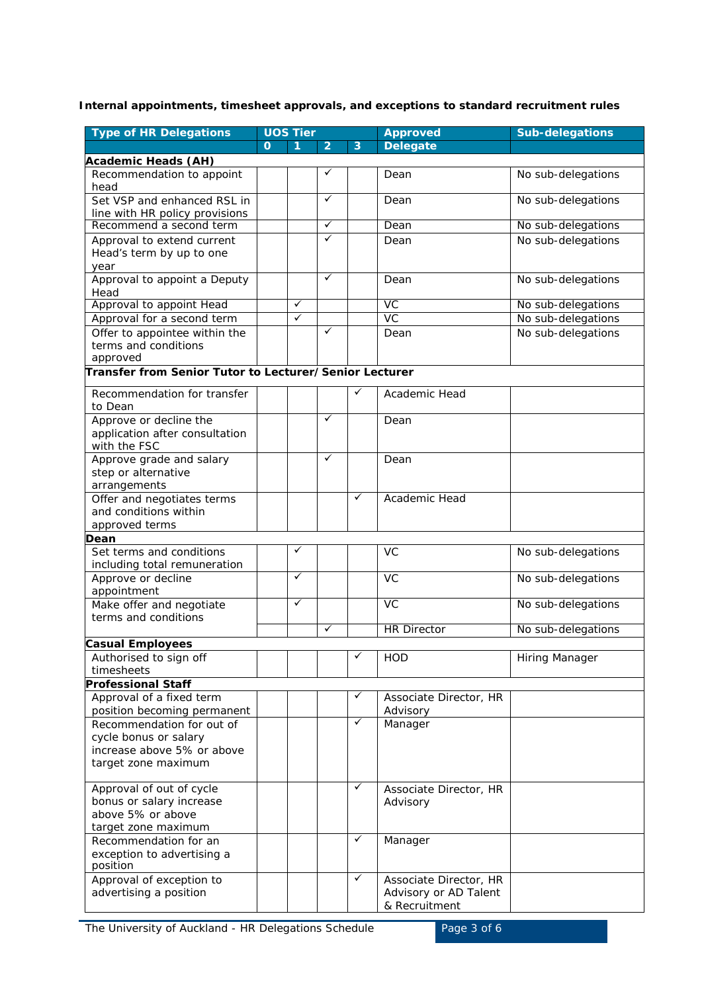## **Internal appointments, timesheet approvals, and exceptions to standard recruitment rules**

| <b>Type of HR Delegations</b>                                                                           | <b>UOS Tier</b> |              |                | <b>Approved</b> | <b>Sub-delegations</b>                                           |                    |
|---------------------------------------------------------------------------------------------------------|-----------------|--------------|----------------|-----------------|------------------------------------------------------------------|--------------------|
|                                                                                                         | $\Omega$        | 1            | $\overline{2}$ | 3               | <b>Delegate</b>                                                  |                    |
| <b>Academic Heads (AH)</b>                                                                              |                 |              |                |                 |                                                                  |                    |
| Recommendation to appoint<br>head                                                                       |                 |              | ✓              |                 | Dean                                                             | No sub-delegations |
| Set VSP and enhanced RSL in<br>line with HR policy provisions                                           |                 |              | ✓              |                 | Dean                                                             | No sub-delegations |
| Recommend a second term                                                                                 |                 |              | $\checkmark$   |                 | Dean                                                             | No sub-delegations |
| Approval to extend current                                                                              |                 |              | ✓              |                 | Dean                                                             | No sub-delegations |
| Head's term by up to one                                                                                |                 |              |                |                 |                                                                  |                    |
| year                                                                                                    |                 |              |                |                 |                                                                  |                    |
| Approval to appoint a Deputy<br>Head                                                                    |                 |              | $\checkmark$   |                 | Dean                                                             | No sub-delegations |
| Approval to appoint Head                                                                                |                 | $\checkmark$ |                |                 | VC                                                               | No sub-delegations |
| Approval for a second term                                                                              |                 | ✓            |                |                 | VC                                                               | No sub-delegations |
| Offer to appointee within the<br>terms and conditions<br>approved                                       |                 |              | $\checkmark$   |                 | Dean                                                             | No sub-delegations |
| Transfer from Senior Tutor to Lecturer/Senior Lecturer                                                  |                 |              |                |                 |                                                                  |                    |
| Recommendation for transfer<br>to Dean                                                                  |                 |              |                | ✓               | Academic Head                                                    |                    |
| Approve or decline the<br>application after consultation<br>with the FSC                                |                 |              | ✓              |                 | Dean                                                             |                    |
| Approve grade and salary<br>step or alternative<br>arrangements                                         |                 |              | ✓              |                 | Dean                                                             |                    |
| Offer and negotiates terms<br>and conditions within<br>approved terms                                   |                 |              |                | ✓               | Academic Head                                                    |                    |
| Dean                                                                                                    |                 |              |                |                 |                                                                  |                    |
| Set terms and conditions<br>including total remuneration                                                |                 | ✓            |                |                 | <b>VC</b>                                                        | No sub-delegations |
| Approve or decline<br>appointment                                                                       |                 | $\checkmark$ |                |                 | VC                                                               | No sub-delegations |
| Make offer and negotiate                                                                                |                 | ✓            |                |                 | $\overline{VC}$                                                  | No sub-delegations |
| terms and conditions                                                                                    |                 |              | $\checkmark$   |                 | <b>HR Director</b>                                               |                    |
|                                                                                                         |                 |              |                |                 |                                                                  | No sub-delegations |
| Casual Employees<br>Authorised to sign off                                                              |                 |              |                | ✓               | <b>HOD</b>                                                       | Hiring Manager     |
| timesheets                                                                                              |                 |              |                |                 |                                                                  |                    |
| <b>Professional Staff</b>                                                                               |                 |              |                |                 |                                                                  |                    |
| Approval of a fixed term                                                                                |                 |              |                | ✓               | Associate Director, HR                                           |                    |
| position becoming permanent                                                                             |                 |              |                |                 | Advisory                                                         |                    |
| Recommendation for out of<br>cycle bonus or salary<br>increase above 5% or above<br>target zone maximum |                 |              |                | ✓               | Manager                                                          |                    |
| Approval of out of cycle<br>bonus or salary increase<br>above 5% or above<br>target zone maximum        |                 |              |                | ✓               | Associate Director, HR<br>Advisory                               |                    |
| Recommendation for an<br>exception to advertising a<br>position                                         |                 |              |                | ✓               | Manager                                                          |                    |
| Approval of exception to<br>advertising a position                                                      |                 |              |                | ✓               | Associate Director, HR<br>Advisory or AD Talent<br>& Recruitment |                    |

The University of Auckland - HR Delegations Schedule Page 3 of 6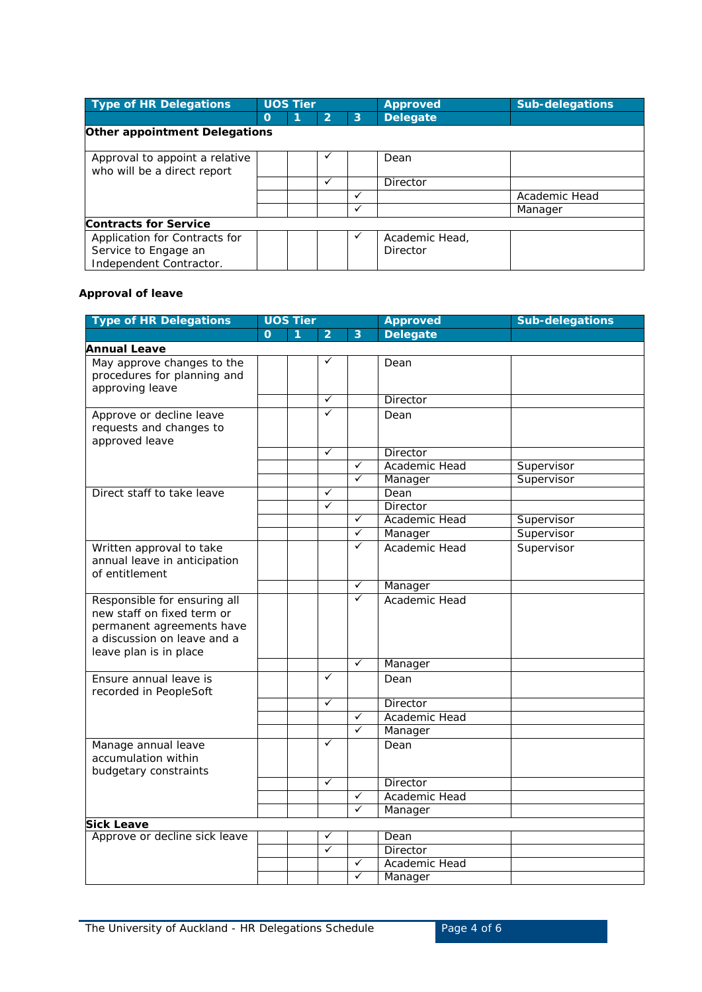| <b>Type of HR Delegations</b>                                 |             | <b>UOS Tier</b> |                |   | <b>Approved</b> | <b>Sub-delegations</b> |  |  |  |
|---------------------------------------------------------------|-------------|-----------------|----------------|---|-----------------|------------------------|--|--|--|
|                                                               | $\mathbf 0$ |                 | $\overline{2}$ | 3 | <b>Delegate</b> |                        |  |  |  |
| <b>Other appointment Delegations</b>                          |             |                 |                |   |                 |                        |  |  |  |
| Approval to appoint a relative<br>who will be a direct report |             |                 |                |   | Dean            |                        |  |  |  |
|                                                               |             |                 | ✓              |   | Director        |                        |  |  |  |
|                                                               |             |                 |                | ✓ |                 | Academic Head          |  |  |  |
|                                                               |             |                 |                | ✓ |                 | Manager                |  |  |  |
| <b>Contracts for Service</b>                                  |             |                 |                |   |                 |                        |  |  |  |
| Application for Contracts for                                 |             |                 |                | ✓ | Academic Head,  |                        |  |  |  |
| Service to Engage an                                          |             |                 |                |   | Director        |                        |  |  |  |
| Independent Contractor.                                       |             |                 |                |   |                 |                        |  |  |  |

## **Approval of leave**

| <b>Type of HR Delegations</b>                                                                                                                    | <b>UOS Tier</b> |   |                | <b>Approved</b> | <b>Sub-delegations</b> |            |
|--------------------------------------------------------------------------------------------------------------------------------------------------|-----------------|---|----------------|-----------------|------------------------|------------|
|                                                                                                                                                  | $\Omega$        | 1 | $\overline{2}$ | 3               | <b>Delegate</b>        |            |
| <b>Annual Leave</b>                                                                                                                              |                 |   |                |                 |                        |            |
| May approve changes to the<br>procedures for planning and<br>approving leave                                                                     |                 |   | ✓              |                 | Dean                   |            |
|                                                                                                                                                  |                 |   | $\checkmark$   |                 | Director               |            |
| Approve or decline leave<br>requests and changes to<br>approved leave                                                                            |                 |   | ✓              |                 | Dean                   |            |
|                                                                                                                                                  |                 |   | ✓              |                 | <b>Director</b>        |            |
|                                                                                                                                                  |                 |   |                | ✓               | Academic Head          | Supervisor |
|                                                                                                                                                  |                 |   |                | ✓               | Manager                | Supervisor |
| Direct staff to take leave                                                                                                                       |                 |   | ✓              |                 | Dean                   |            |
|                                                                                                                                                  |                 |   | ✓              |                 | <b>Director</b>        |            |
|                                                                                                                                                  |                 |   |                | ✓               | Academic Head          | Supervisor |
|                                                                                                                                                  |                 |   |                | ✓               | Manager                | Supervisor |
| Written approval to take<br>annual leave in anticipation<br>of entitlement                                                                       |                 |   |                | ✓               | Academic Head          | Supervisor |
|                                                                                                                                                  |                 |   |                | $\checkmark$    | Manager                |            |
| Responsible for ensuring all<br>new staff on fixed term or<br>permanent agreements have<br>a discussion on leave and a<br>leave plan is in place |                 |   |                | $\checkmark$    | Academic Head          |            |
|                                                                                                                                                  |                 |   |                | ✓               | Manager                |            |
| Ensure annual leave is<br>recorded in PeopleSoft                                                                                                 |                 |   | ✓              |                 | Dean                   |            |
|                                                                                                                                                  |                 |   | ✓              |                 | Director               |            |
|                                                                                                                                                  |                 |   |                | ✓               | Academic Head          |            |
|                                                                                                                                                  |                 |   |                | ✓               | Manager                |            |
| Manage annual leave<br>accumulation within<br>budgetary constraints                                                                              |                 |   | ✓              |                 | Dean                   |            |
|                                                                                                                                                  |                 |   | ✓              |                 | <b>Director</b>        |            |
|                                                                                                                                                  |                 |   |                | $\checkmark$    | Academic Head          |            |
|                                                                                                                                                  |                 |   |                | ✓               | Manager                |            |
| Sick Leave                                                                                                                                       |                 |   |                |                 |                        |            |
| Approve or decline sick leave                                                                                                                    |                 |   | ✓              |                 | Dean                   |            |
|                                                                                                                                                  |                 |   | ✓              |                 | Director               |            |
|                                                                                                                                                  |                 |   |                | ✓               | Academic Head          |            |
|                                                                                                                                                  |                 |   |                | ✓               | Manager                |            |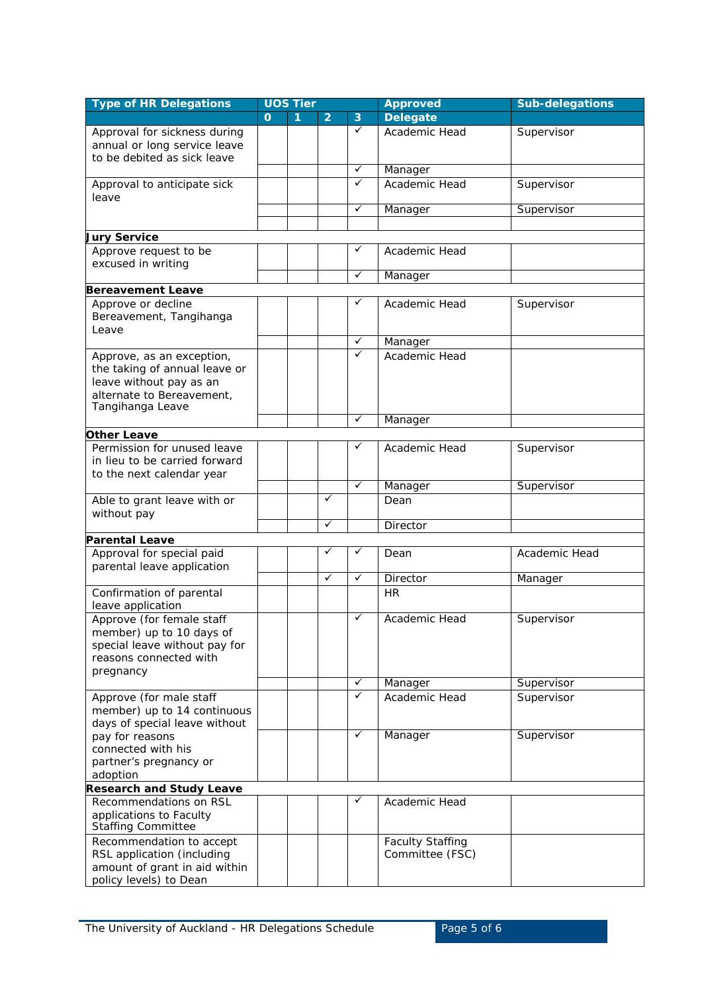| <b>Type of HR Delegations</b>                           | <b>UOS Tier</b> |   |                | <b>Approved</b> | <b>Sub-delegations</b>  |               |
|---------------------------------------------------------|-----------------|---|----------------|-----------------|-------------------------|---------------|
|                                                         | $\Omega$        | 1 | $\overline{2}$ | $\overline{3}$  | <b>Delegate</b>         |               |
| Approval for sickness during                            |                 |   |                | $\checkmark$    | Academic Head           | Supervisor    |
| annual or long service leave                            |                 |   |                |                 |                         |               |
| to be debited as sick leave                             |                 |   |                | $\checkmark$    |                         |               |
|                                                         |                 |   |                | ✓               | Manager                 |               |
| Approval to anticipate sick<br>leave                    |                 |   |                |                 | Academic Head           | Supervisor    |
|                                                         |                 |   |                | ✓               | Manager                 | Supervisor    |
|                                                         |                 |   |                |                 |                         |               |
| <b>Jury Service</b>                                     |                 |   |                |                 |                         |               |
| Approve request to be                                   |                 |   |                | ✓               | Academic Head           |               |
| excused in writing                                      |                 |   |                | ✓               |                         |               |
|                                                         |                 |   |                |                 | Manager                 |               |
| <b>Bereavement Leave</b><br>Approve or decline          |                 |   |                | ✓               | Academic Head           |               |
| Bereavement, Tangihanga                                 |                 |   |                |                 |                         | Supervisor    |
| Leave                                                   |                 |   |                |                 |                         |               |
|                                                         |                 |   |                | $\checkmark$    | Manager                 |               |
| Approve, as an exception,                               |                 |   |                | ✓               | Academic Head           |               |
| the taking of annual leave or                           |                 |   |                |                 |                         |               |
| leave without pay as an                                 |                 |   |                |                 |                         |               |
| alternate to Bereavement,                               |                 |   |                |                 |                         |               |
| Tangihanga Leave                                        |                 |   |                | ✓               |                         |               |
| <b>Other Leave</b>                                      |                 |   |                |                 | Manager                 |               |
| Permission for unused leave                             |                 |   |                | ✓               | Academic Head           | Supervisor    |
| in lieu to be carried forward                           |                 |   |                |                 |                         |               |
| to the next calendar year                               |                 |   |                |                 |                         |               |
|                                                         |                 |   |                | ✓               | Manager                 | Supervisor    |
| Able to grant leave with or                             |                 |   | ✓              |                 | Dean                    |               |
| without pay                                             |                 |   |                |                 |                         |               |
|                                                         |                 |   | ✓              |                 | <b>Director</b>         |               |
| <b>Parental Leave</b>                                   |                 |   | ✓              | ✓               |                         |               |
| Approval for special paid<br>parental leave application |                 |   |                |                 | Dean                    | Academic Head |
|                                                         |                 |   | ✓              | ✓               | Director                | Manager       |
| Confirmation of parental                                |                 |   |                |                 | <b>HR</b>               |               |
| leave application                                       |                 |   |                |                 |                         |               |
| Approve (for female staff                               |                 |   |                | ✓               | Academic Head           | Supervisor    |
| member) up to 10 days of                                |                 |   |                |                 |                         |               |
| special leave without pay for                           |                 |   |                |                 |                         |               |
| reasons connected with                                  |                 |   |                |                 |                         |               |
| pregnancy                                               |                 |   |                | ✓               | Manager                 | Supervisor    |
| Approve (for male staff                                 |                 |   |                | ✓               | Academic Head           | Supervisor    |
| member) up to 14 continuous                             |                 |   |                |                 |                         |               |
| days of special leave without                           |                 |   |                |                 |                         |               |
| pay for reasons                                         |                 |   |                | $\checkmark$    | Manager                 | Supervisor    |
| connected with his                                      |                 |   |                |                 |                         |               |
| partner's pregnancy or                                  |                 |   |                |                 |                         |               |
| adoption                                                |                 |   |                |                 |                         |               |
| <b>Research and Study Leave</b>                         |                 |   |                | ✓               |                         |               |
| Recommendations on RSL                                  |                 |   |                |                 | Academic Head           |               |
| applications to Faculty<br><b>Staffing Committee</b>    |                 |   |                |                 |                         |               |
| Recommendation to accept                                |                 |   |                |                 | <b>Faculty Staffing</b> |               |
| RSL application (including                              |                 |   |                |                 | Committee (FSC)         |               |
| amount of grant in aid within                           |                 |   |                |                 |                         |               |
| policy levels) to Dean                                  |                 |   |                |                 |                         |               |